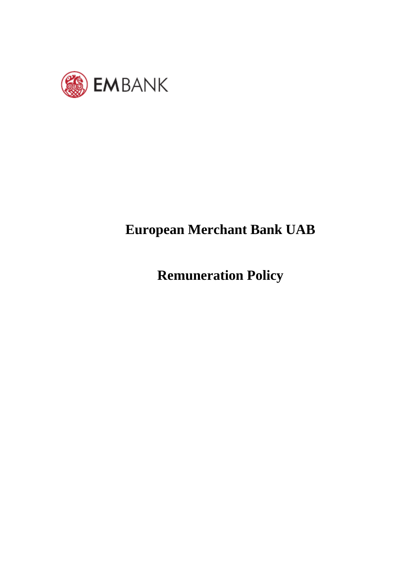

# **European Merchant Bank UAB**

**Remuneration Policy**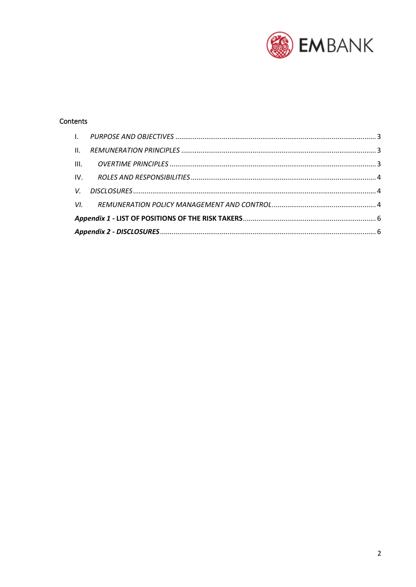

## Contents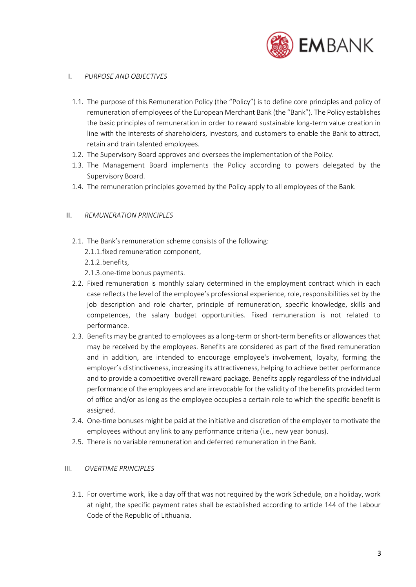

#### <span id="page-2-0"></span>I. *PURPOSE AND OBJECTIVES*

- 1.1. The purpose of this Remuneration Policy (the "Policy") is to define core principles and policy of remuneration of employees of the European Merchant Bank (the "Bank"). The Policy establishes the basic principles of remuneration in order to reward sustainable long-term value creation in line with the interests of shareholders, investors, and customers to enable the Bank to attract, retain and train talented employees.
- 1.2. The Supervisory Board approves and oversees the implementation of the Policy.
- 1.3. The Management Board implements the Policy according to powers delegated by the Supervisory Board.
- 1.4. The remuneration principles governed by the Policy apply to all employees of the Bank.

#### <span id="page-2-1"></span>II. *REMUNERATION PRINCIPLES*

- 2.1. The Bank's remuneration scheme consists of the following:
	- 2.1.1.fixed remuneration component,
	- 2.1.2.benefits,
	- 2.1.3.one-time bonus payments.
- 2.2. Fixed remuneration is monthly salary determined in the employment contract which in each case reflects the level of the employee's professional experience, role, responsibilities set by the job description and role charter, principle of remuneration, specific knowledge, skills and competences, the salary budget opportunities. Fixed remuneration is not related to performance.
- 2.3. Benefits may be granted to employees as a long-term or short-term benefits or allowances that may be received by the employees. Benefits are considered as part of the fixed remuneration and in addition, are intended to encourage employee's involvement, loyalty, forming the employer's distinctiveness, increasing its attractiveness, helping to achieve better performance and to provide a competitive overall reward package. Benefits apply regardless of the individual performance of the employees and are irrevocable for the validity of the benefits provided term of office and/or as long as the employee occupies a certain role to which the specific benefit is assigned.
- 2.4. One-time bonuses might be paid at the initiative and discretion of the employer to motivate the employees without any link to any performance criteria (i.e., new year bonus).
- 2.5. There is no variable remuneration and deferred remuneration in the Bank.

#### <span id="page-2-2"></span>III. *OVERTIME PRINCIPLES*

3.1. For overtime work, like a day off that was not required by the work Schedule, on a holiday, work at night, the specific payment rates shall be established according to article 144 of the Labour Code of the Republic of Lithuania.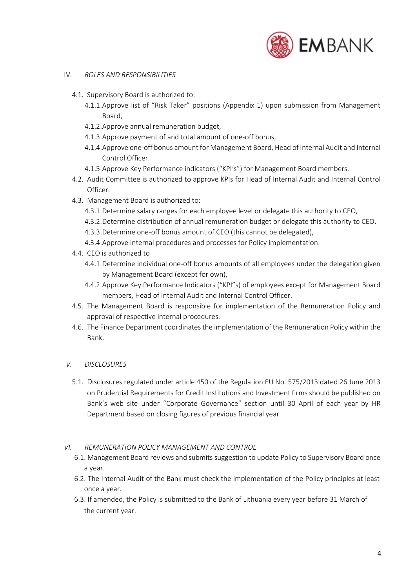

- <span id="page-3-0"></span>IV. *ROLES AND RESPONSIBILITIES*
	- 4.1. Supervisory Board is authorized to:
		- 4.1.1.Approve list of "Risk Taker" positions (Appendix 1) upon submission from Management Board,
		- 4.1.2.Approve annual remuneration budget,
		- 4.1.3.Approve payment of and total amount of one-off bonus,
		- 4.1.4.Approve one-off bonus amount for Management Board, Head of Internal Audit and Internal Control Officer.
		- 4.1.5.Approve Key Performance indicators ("KPI's") for Management Board members.
	- 4.2. Audit Committee is authorized to approve KPIs for Head of Internal Audit and Internal Control Officer.
	- 4.3. Management Board is authorized to:
		- 4.3.1.Determine salary ranges for each employee level or delegate this authority to CEO,
		- 4.3.2.Determine distribution of annual remuneration budget or delegate this authority to CEO,
		- 4.3.3.Determine one-off bonus amount of CEO (this cannot be delegated),
		- 4.3.4.Approve internal procedures and processes for Policy implementation.
	- 4.4. CEO is authorized to
		- 4.4.1.Determine individual one-off bonus amounts of all employees under the delegation given by Management Board (except for own),
		- 4.4.2.Approve Key Performance Indicators ("KPI"s) of employees except for Management Board members, Head of Internal Audit and Internal Control Officer.
	- 4.5. The Management Board is responsible for implementation of the Remuneration Policy and approval of respective internal procedures.
	- 4.6. The Finance Department coordinates the implementation of the Remuneration Policy within the Bank.

#### <span id="page-3-1"></span>*V. DISCLOSURES*

5.1. Disclosures regulated under article 450 of the Regulation EU No. 575/2013 dated 26 June 2013 on Prudential Requirements for Credit Institutions and Investment firms should be published on Bank's web site under "Corporate Governance" section until 30 April of each year by HR Department based on closing figures of previous financial year.

#### *VI. REMUNERATION POLICY MANAGEMENT AND CONTROL*

- <span id="page-3-2"></span>6.1. Management Board reviews and submits suggestion to update Policy to Supervisory Board once a year.
- 6.2. The Internal Audit of the Bank must check the implementation of the Policy principles at least once a year.
- 6.3. If amended, the Policy is submitted to the Bank of Lithuania every year before 31 March of the current year.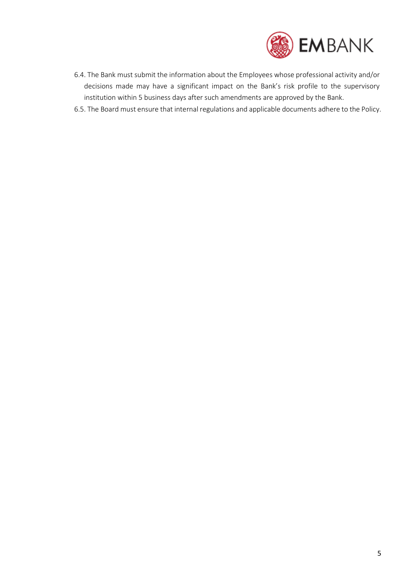

- 6.4. The Bank must submit the information about the Employees whose professional activity and/or decisions made may have a significant impact on the Bank's risk profile to the supervisory institution within 5 business days after such amendments are approved by the Bank.
- 6.5. The Board must ensure that internal regulations and applicable documents adhere to the Policy.